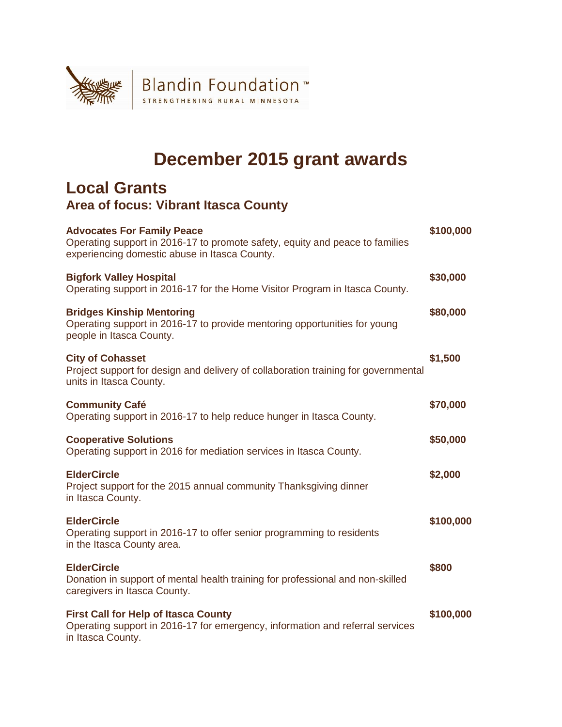

## **December 2015 grant awards**

## **Local Grants Area of focus: Vibrant Itasca County**

| <b>Advocates For Family Peace</b><br>Operating support in 2016-17 to promote safety, equity and peace to families<br>experiencing domestic abuse in Itasca County. | \$100,000 |
|--------------------------------------------------------------------------------------------------------------------------------------------------------------------|-----------|
| <b>Bigfork Valley Hospital</b><br>Operating support in 2016-17 for the Home Visitor Program in Itasca County.                                                      | \$30,000  |
| <b>Bridges Kinship Mentoring</b><br>Operating support in 2016-17 to provide mentoring opportunities for young<br>people in Itasca County.                          | \$80,000  |
| <b>City of Cohasset</b><br>Project support for design and delivery of collaboration training for governmental<br>units in Itasca County.                           | \$1,500   |
| <b>Community Café</b><br>Operating support in 2016-17 to help reduce hunger in Itasca County.                                                                      | \$70,000  |
| <b>Cooperative Solutions</b><br>Operating support in 2016 for mediation services in Itasca County.                                                                 | \$50,000  |
| <b>ElderCircle</b><br>Project support for the 2015 annual community Thanksgiving dinner<br>in Itasca County.                                                       | \$2,000   |
| <b>ElderCircle</b><br>Operating support in 2016-17 to offer senior programming to residents<br>in the Itasca County area.                                          | \$100,000 |
| <b>ElderCircle</b><br>Donation in support of mental health training for professional and non-skilled<br>caregivers in Itasca County.                               | \$800     |
| <b>First Call for Help of Itasca County</b><br>Operating support in 2016-17 for emergency, information and referral services<br>in Itasca County.                  | \$100,000 |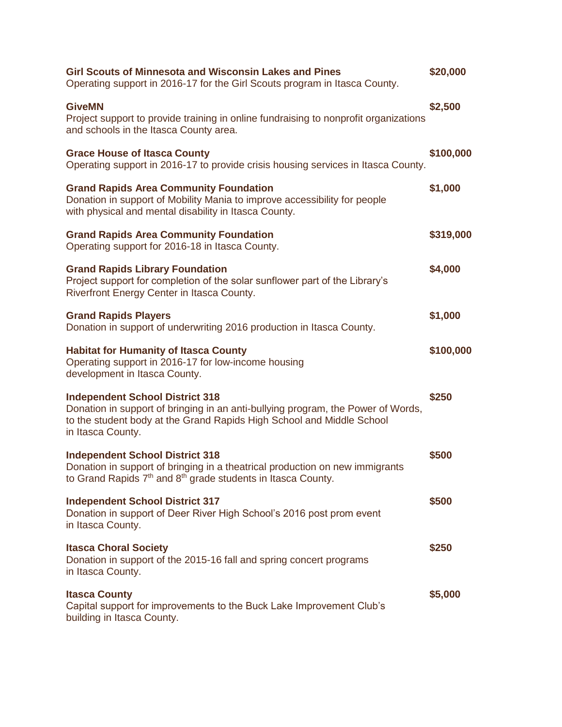| <b>Girl Scouts of Minnesota and Wisconsin Lakes and Pines</b><br>Operating support in 2016-17 for the Girl Scouts program in Itasca County.                                                                              | \$20,000  |
|--------------------------------------------------------------------------------------------------------------------------------------------------------------------------------------------------------------------------|-----------|
| <b>GiveMN</b><br>Project support to provide training in online fundraising to nonprofit organizations<br>and schools in the Itasca County area.                                                                          | \$2,500   |
| <b>Grace House of Itasca County</b><br>Operating support in 2016-17 to provide crisis housing services in Itasca County.                                                                                                 | \$100,000 |
| <b>Grand Rapids Area Community Foundation</b><br>Donation in support of Mobility Mania to improve accessibility for people<br>with physical and mental disability in Itasca County.                                      | \$1,000   |
| <b>Grand Rapids Area Community Foundation</b><br>Operating support for 2016-18 in Itasca County.                                                                                                                         | \$319,000 |
| <b>Grand Rapids Library Foundation</b><br>Project support for completion of the solar sunflower part of the Library's<br>Riverfront Energy Center in Itasca County.                                                      | \$4,000   |
| <b>Grand Rapids Players</b><br>Donation in support of underwriting 2016 production in Itasca County.                                                                                                                     | \$1,000   |
| <b>Habitat for Humanity of Itasca County</b><br>Operating support in 2016-17 for low-income housing<br>development in Itasca County.                                                                                     | \$100,000 |
| <b>Independent School District 318</b><br>Donation in support of bringing in an anti-bullying program, the Power of Words,<br>to the student body at the Grand Rapids High School and Middle School<br>in Itasca County. | \$250     |
| <b>Independent School District 318</b><br>Donation in support of bringing in a theatrical production on new immigrants<br>to Grand Rapids 7 <sup>th</sup> and 8 <sup>th</sup> grade students in Itasca County.           | \$500     |
| <b>Independent School District 317</b><br>Donation in support of Deer River High School's 2016 post prom event<br>in Itasca County.                                                                                      | \$500     |
| <b>Itasca Choral Society</b><br>Donation in support of the 2015-16 fall and spring concert programs<br>in Itasca County.                                                                                                 | \$250     |
| <b>Itasca County</b><br>Capital support for improvements to the Buck Lake Improvement Club's<br>building in Itasca County.                                                                                               | \$5,000   |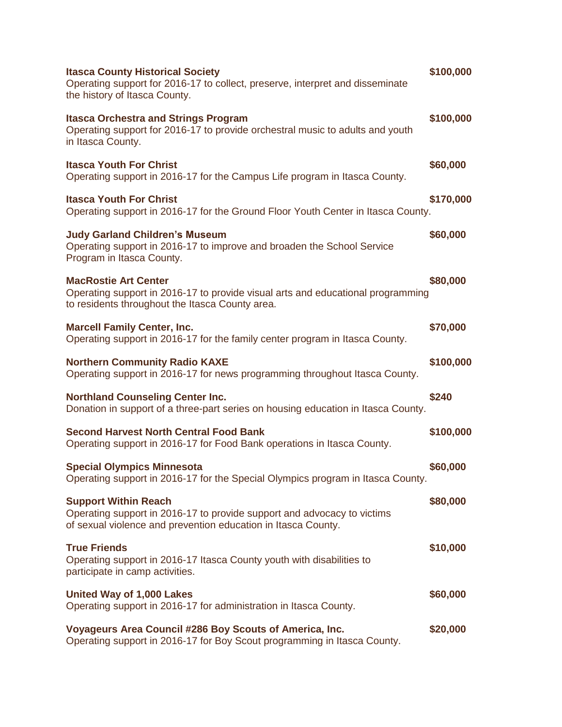| <b>Itasca County Historical Society</b><br>Operating support for 2016-17 to collect, preserve, interpret and disseminate<br>the history of Itasca County.               | \$100,000 |
|-------------------------------------------------------------------------------------------------------------------------------------------------------------------------|-----------|
| <b>Itasca Orchestra and Strings Program</b><br>Operating support for 2016-17 to provide orchestral music to adults and youth<br>in Itasca County.                       | \$100,000 |
| <b>Itasca Youth For Christ</b><br>Operating support in 2016-17 for the Campus Life program in Itasca County.                                                            | \$60,000  |
| <b>Itasca Youth For Christ</b><br>Operating support in 2016-17 for the Ground Floor Youth Center in Itasca County.                                                      | \$170,000 |
| <b>Judy Garland Children's Museum</b><br>Operating support in 2016-17 to improve and broaden the School Service<br>Program in Itasca County.                            | \$60,000  |
| <b>MacRostie Art Center</b><br>Operating support in 2016-17 to provide visual arts and educational programming<br>to residents throughout the Itasca County area.       | \$80,000  |
| <b>Marcell Family Center, Inc.</b><br>Operating support in 2016-17 for the family center program in Itasca County.                                                      | \$70,000  |
| <b>Northern Community Radio KAXE</b><br>Operating support in 2016-17 for news programming throughout Itasca County.                                                     | \$100,000 |
| <b>Northland Counseling Center Inc.</b><br>Donation in support of a three-part series on housing education in Itasca County.                                            | \$240     |
| <b>Second Harvest North Central Food Bank</b><br>Operating support in 2016-17 for Food Bank operations in Itasca County.                                                | \$100,000 |
| <b>Special Olympics Minnesota</b><br>Operating support in 2016-17 for the Special Olympics program in Itasca County.                                                    | \$60,000  |
| <b>Support Within Reach</b><br>Operating support in 2016-17 to provide support and advocacy to victims<br>of sexual violence and prevention education in Itasca County. | \$80,000  |
| <b>True Friends</b><br>Operating support in 2016-17 Itasca County youth with disabilities to<br>participate in camp activities.                                         | \$10,000  |
| United Way of 1,000 Lakes<br>Operating support in 2016-17 for administration in Itasca County.                                                                          | \$60,000  |
| Voyageurs Area Council #286 Boy Scouts of America, Inc.<br>Operating support in 2016-17 for Boy Scout programming in Itasca County.                                     | \$20,000  |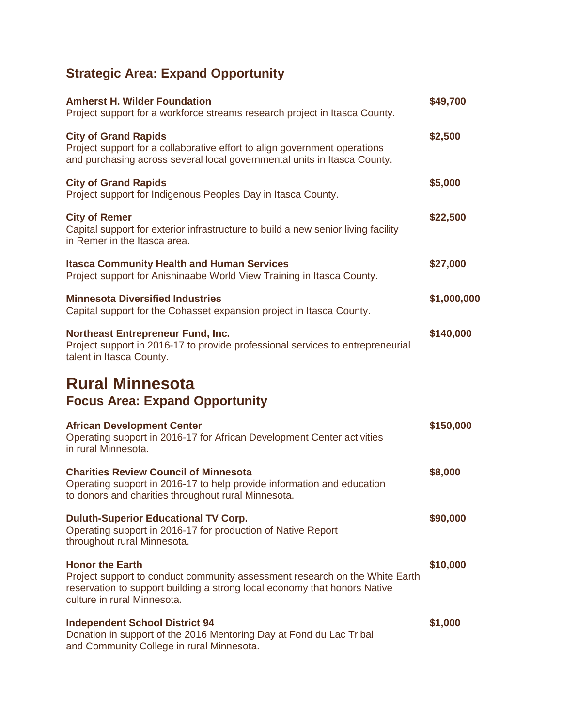## **Strategic Area: Expand Opportunity**

| <b>Amherst H. Wilder Foundation</b><br>Project support for a workforce streams research project in Itasca County.                                                                                                 | \$49,700    |
|-------------------------------------------------------------------------------------------------------------------------------------------------------------------------------------------------------------------|-------------|
| <b>City of Grand Rapids</b><br>Project support for a collaborative effort to align government operations<br>and purchasing across several local governmental units in Itasca County.                              | \$2,500     |
| <b>City of Grand Rapids</b><br>Project support for Indigenous Peoples Day in Itasca County.                                                                                                                       | \$5,000     |
| <b>City of Remer</b><br>Capital support for exterior infrastructure to build a new senior living facility<br>in Remer in the Itasca area.                                                                         | \$22,500    |
| <b>Itasca Community Health and Human Services</b><br>Project support for Anishinaabe World View Training in Itasca County.                                                                                        | \$27,000    |
| <b>Minnesota Diversified Industries</b><br>Capital support for the Cohasset expansion project in Itasca County.                                                                                                   | \$1,000,000 |
| <b>Northeast Entrepreneur Fund, Inc.</b><br>Project support in 2016-17 to provide professional services to entrepreneurial<br>talent in Itasca County.                                                            | \$140,000   |
| <b>Rural Minnesota</b><br><b>Focus Area: Expand Opportunity</b>                                                                                                                                                   |             |
| <b>African Development Center</b><br>Operating support in 2016-17 for African Development Center activities<br>in rural Minnesota.                                                                                | \$150,000   |
| <b>Charities Review Council of Minnesota</b><br>Operating support in 2016-17 to help provide information and education<br>to donors and charities throughout rural Minnesota.                                     | \$8,000     |
| <b>Duluth-Superior Educational TV Corp.</b><br>Operating support in 2016-17 for production of Native Report<br>throughout rural Minnesota.                                                                        | \$90,000    |
| <b>Honor the Earth</b><br>Project support to conduct community assessment research on the White Earth<br>reservation to support building a strong local economy that honors Native<br>culture in rural Minnesota. | \$10,000    |
| <b>Independent School District 94</b><br>Donation in support of the 2016 Mentoring Day at Fond du Lac Tribal<br>and Community College in rural Minnesota.                                                         | \$1,000     |